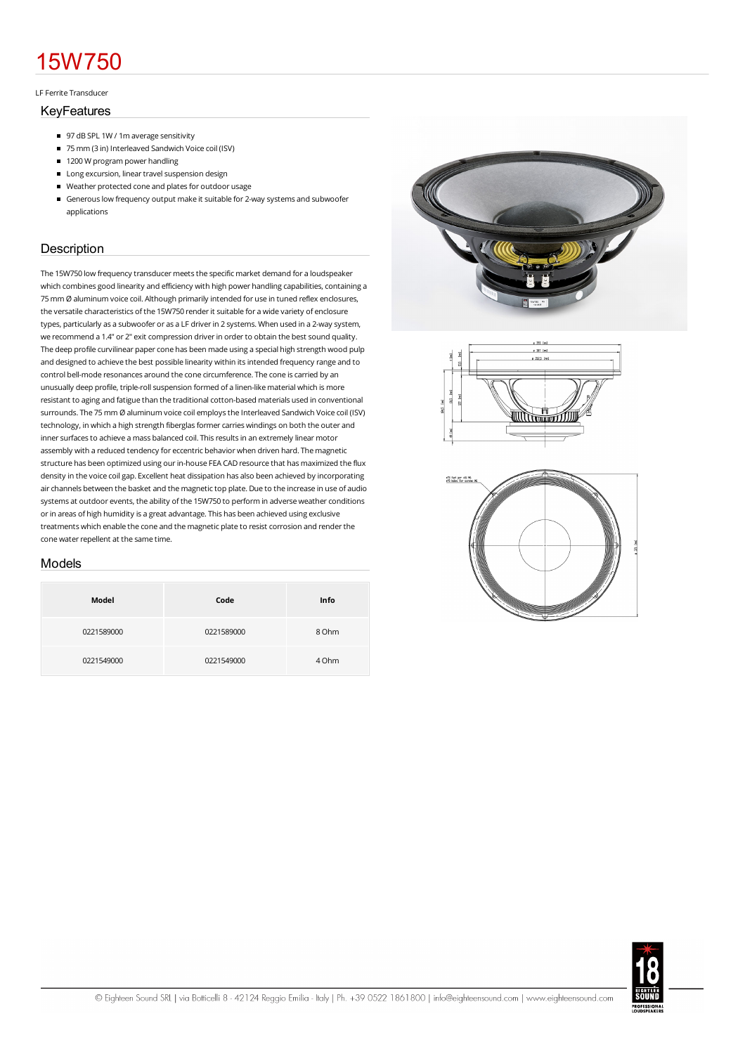# 15W750

#### LFFerrite Transducer

#### KeyFeatures

- 97 dB SPL 1W / 1m average sensitivity
- 75 mm (3 in) Interleaved Sandwich Voice coil (ISV)
- 1200 W program power handling
- **Long excursion, linear travel suspension design**
- Weather protected cone and plates for outdoor usage
- Generous low frequency output make it suitable for 2-way systems and subwoofer applications

## **Description**

The 15W750 low frequency transducer meets the specific market demand for a loudspeaker which combines good linearity and efficiency with high power handling capabilities, containing a 75mmØ aluminumvoice coil. Although primarily intended for use in tuned reflex enclosures, the versatile characteristics of the 15W750 renderit suitable for a wide variety of enclosure types, particularly as a subwoofer or as a LF driverin 2 systems.When used in a 2-way system, we recommend a 1.4" or 2" exit compression driver in order to obtain the best sound quality. The deep profile curvilinear paper cone has been made using a special high strength wood pulp and designed to achieve the best possible linearity within its intended frequency range and to control bell-mode resonances around the cone circumference. The cone is carried by an unusually deep profile, triple-roll suspension formed of a linen-like material which is more resistant to aging and fatigue than the traditional cotton-based materials used in conventional surrounds. The 75 mm Ø aluminum voice coil employs the Interleaved Sandwich Voice coil (ISV) technology, in which a high strength fiberglas former carries windings on both the outer and inner surfaces to achieve a mass balanced coil. This results in an extremely linear motor assembly with a reduced tendency for eccentric behavior when driven hard. Themagnetic structure has been optimized using our in-house FEA CAD resource that has maximized the flux density in the voice coilgap. Excellent heat dissipation has also been achieved by incorporating air channels between the basket and the magnetic top plate. Due to the increase in use of audio systems at outdoor events, the ability of the 15W750 to perform in adverse weather conditions or in areas of high humidity is a great advantage. This has been achieved using exclusive treatments which enable the cone and the magnetic plate to resist corrosion and render the cone water repellent at the same time.

#### Models

| Model      | Code       | Info  |
|------------|------------|-------|
| 0221589000 | 0221589000 | 8 Ohm |
| 0221549000 | 0221549000 | 4 Ohm |